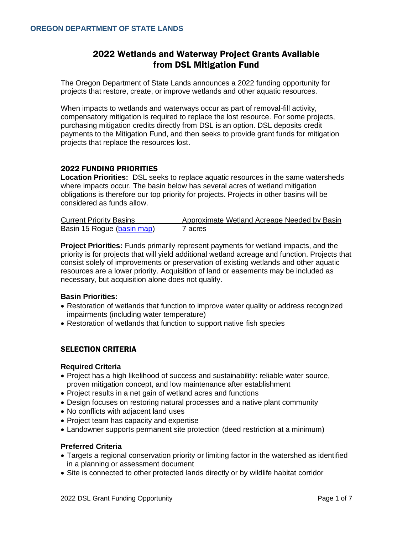# 2022 Wetlands and Waterway Project Grants Available from DSL Mitigation Fund

The Oregon Department of State Lands announces a 2022 funding opportunity for projects that restore, create, or improve wetlands and other aquatic resources.

When impacts to wetlands and waterways occur as part of removal-fill activity, compensatory mitigation is required to replace the lost resource. For some projects, purchasing mitigation credits directly from DSL is an option. DSL deposits credit payments to the Mitigation Fund, and then seeks to provide grant funds for mitigation projects that replace the resources lost.

### 2022 FUNDING PRIORITIES

**Location Priorities:** DSL seeks to replace aquatic resources in the same watersheds where impacts occur. The basin below has several acres of wetland mitigation obligations is therefore our top priority for projects. Projects in other basins will be considered as funds allow.

| <b>Current Priority Basins</b> | Approximate Wetland Acreage Needed by Basin |
|--------------------------------|---------------------------------------------|
| Basin 15 Rogue (basin map)     | 7 acres                                     |

**Project Priorities:** Funds primarily represent payments for wetland impacts, and the priority is for projects that will yield additional wetland acreage and function. Projects that consist solely of improvements or preservation of existing wetlands and other aquatic resources are a lower priority. Acquisition of land or easements may be included as necessary, but acquisition alone does not qualify.

### **Basin Priorities:**

- Restoration of wetlands that function to improve water quality or address recognized impairments (including water temperature)
- Restoration of wetlands that function to support native fish species

## SELECTION CRITERIA

### **Required Criteria**

- Project has a high likelihood of success and sustainability: reliable water source, proven mitigation concept, and low maintenance after establishment
- Project results in a net gain of wetland acres and functions
- Design focuses on restoring natural processes and a native plant community
- No conflicts with adjacent land uses
- Project team has capacity and expertise
- Landowner supports permanent site protection (deed restriction at a minimum)

### **Preferred Criteria**

- Targets a regional conservation priority or limiting factor in the watershed as identified in a planning or assessment document
- Site is connected to other protected lands directly or by wildlife habitat corridor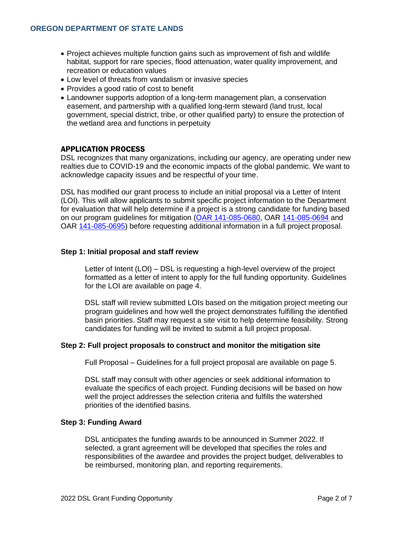- Project achieves multiple function gains such as improvement of fish and wildlife habitat, support for rare species, flood attenuation, water quality improvement, and recreation or education values
- Low level of threats from vandalism or invasive species
- Provides a good ratio of cost to benefit
- Landowner supports adoption of a long-term management plan, a conservation easement, and partnership with a qualified long-term steward (land trust, local government, special district, tribe, or other qualified party) to ensure the protection of the wetland area and functions in perpetuity

## APPLICATION PROCESS

DSL recognizes that many organizations, including our agency, are operating under new realties due to COVID-19 and the economic impacts of the global pandemic. We want to acknowledge capacity issues and be respectful of your time.

DSL has modified our grant process to include an initial proposal via a Letter of Intent (LOI). This will allow applicants to submit specific project information to the Department for evaluation that will help determine if a project is a strong candidate for funding based on our program guidelines for mitigation [\(OAR 141-085-0680,](https://secure.sos.state.or.us/oard/viewSingleRule.action;JSESSIONID_OARD=E61xQFLoGEhszmCJtJAWWlm-C1OioMmT1EQO69wQSgVlEqrJh-rR!849948759?ruleVrsnRsn=257284) OAR [141-085-0694](https://secure.sos.state.or.us/oard/viewSingleRule.action?ruleVrsnRsn=257288) and OAR [141-085-0695\)](https://secure.sos.state.or.us/oard/viewSingleRule.action?ruleVrsnRsn=256996) before requesting additional information in a full project proposal.

### **Step 1: Initial proposal and staff review**

Letter of Intent (LOI) – DSL is requesting a high-level overview of the project formatted as a letter of intent to apply for the full funding opportunity. Guidelines for the LOI are available on page 4.

DSL staff will review submitted LOIs based on the mitigation project meeting our program guidelines and how well the project demonstrates fulfilling the identified basin priorities. Staff may request a site visit to help determine feasibility. Strong candidates for funding will be invited to submit a full project proposal.

### **Step 2: Full project proposals to construct and monitor the mitigation site**

Full Proposal – Guidelines for a full project proposal are available on page 5.

DSL staff may consult with other agencies or seek additional information to evaluate the specifics of each project. Funding decisions will be based on how well the project addresses the selection criteria and fulfills the watershed priorities of the identified basins.

### **Step 3: Funding Award**

DSL anticipates the funding awards to be announced in Summer 2022. If selected, a grant agreement will be developed that specifies the roles and responsibilities of the awardee and provides the project budget, deliverables to be reimbursed, monitoring plan, and reporting requirements.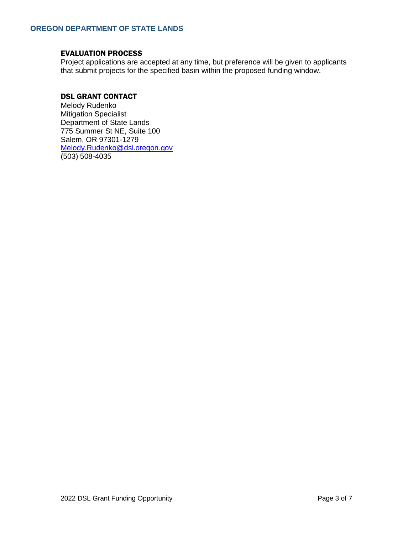## EVALUATION PROCESS

Project applications are accepted at any time, but preference will be given to applicants that submit projects for the specified basin within the proposed funding window.

## DSL GRANT CONTACT

Melody Rudenko Mitigation Specialist Department of State Lands 775 Summer St NE, Suite 100 Salem, OR 97301-1279 [Melody.Rudenko@dsl.oregon.gov](mailto:Melody.Rudenko@dsl.oregon.gov) (503) 508-4035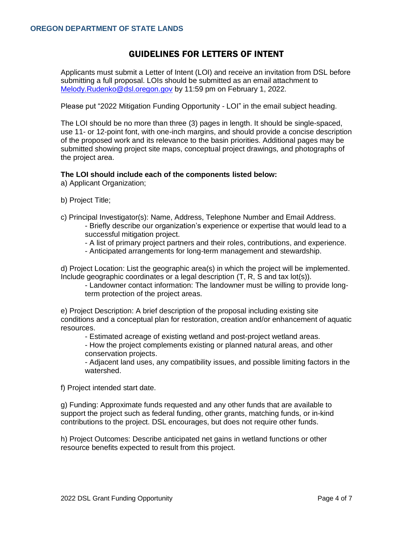# GUIDELINES FOR LETTERS OF INTENT

Applicants must submit a Letter of Intent (LOI) and receive an invitation from DSL before submitting a full proposal. LOIs should be submitted as an email attachment to [Melody.Rudenko@dsl.oregon.gov](mailto:Melody.Rudenko@dsl.oregon.gov) by 11:59 pm on February 1, 2022.

Please put "2022 Mitigation Funding Opportunity - LOI" in the email subject heading.

The LOI should be no more than three (3) pages in length. It should be single-spaced, use 11- or 12-point font, with one-inch margins, and should provide a concise description of the proposed work and its relevance to the basin priorities. Additional pages may be submitted showing project site maps, conceptual project drawings, and photographs of the project area.

### **The LOI should include each of the components listed below:**

a) Applicant Organization;

- b) Project Title;
- c) Principal Investigator(s): Name, Address, Telephone Number and Email Address. - Briefly describe our organization's experience or expertise that would lead to a successful mitigation project.
	- A list of primary project partners and their roles, contributions, and experience.
	- Anticipated arrangements for long-term management and stewardship.

d) Project Location: List the geographic area(s) in which the project will be implemented. Include geographic coordinates or a legal description (T, R, S and tax lot(s)).

- Landowner contact information: The landowner must be willing to provide longterm protection of the project areas.

e) Project Description: A brief description of the proposal including existing site conditions and a conceptual plan for restoration, creation and/or enhancement of aquatic resources.

- Estimated acreage of existing wetland and post-project wetland areas.

- How the project complements existing or planned natural areas, and other conservation projects.

- Adjacent land uses, any compatibility issues, and possible limiting factors in the watershed.

f) Project intended start date.

g) Funding: Approximate funds requested and any other funds that are available to support the project such as federal funding, other grants, matching funds, or in-kind contributions to the project. DSL encourages, but does not require other funds.

h) Project Outcomes: Describe anticipated net gains in wetland functions or other resource benefits expected to result from this project.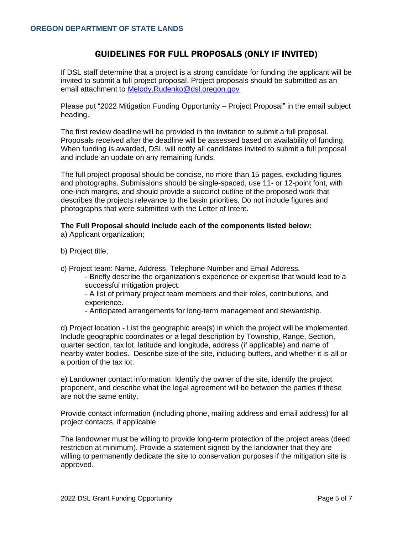# GUIDELINES FOR FULL PROPOSALS (ONLY IF INVITED)

If DSL staff determine that a project is a strong candidate for funding the applicant will be invited to submit a full project proposal. Project proposals should be submitted as an email attachment to [Melody.Rudenko@dsl.oregon.gov](mailto:Melody.Rudenko@dsl.oregon.gov)

Please put "2022 Mitigation Funding Opportunity – Project Proposal" in the email subject heading.

The first review deadline will be provided in the invitation to submit a full proposal. Proposals received after the deadline will be assessed based on availability of funding. When funding is awarded, DSL will notify all candidates invited to submit a full proposal and include an update on any remaining funds.

The full project proposal should be concise, no more than 15 pages, excluding figures and photographs. Submissions should be single-spaced, use 11- or 12-point font, with one-inch margins, and should provide a succinct outline of the proposed work that describes the projects relevance to the basin priorities. Do not include figures and photographs that were submitted with the Letter of Intent.

### **The Full Proposal should include each of the components listed below:**

a) Applicant organization;

- b) Project title;
- c) Project team: Name, Address, Telephone Number and Email Address.
	- Briefly describe the organization's experience or expertise that would lead to a successful mitigation project.

- A list of primary project team members and their roles, contributions, and experience.

- Anticipated arrangements for long-term management and stewardship.

d) Project location - List the geographic area(s) in which the project will be implemented. Include geographic coordinates or a legal description by Township, Range, Section, quarter section, tax lot, latitude and longitude, address (if applicable) and name of nearby water bodies. Describe size of the site, including buffers, and whether it is all or a portion of the tax lot.

e) Landowner contact information: Identify the owner of the site, identify the project proponent, and describe what the legal agreement will be between the parties if these are not the same entity.

Provide contact information (including phone, mailing address and email address) for all project contacts, if applicable.

The landowner must be willing to provide long-term protection of the project areas (deed restriction at minimum). Provide a statement signed by the landowner that they are willing to permanently dedicate the site to conservation purposes if the mitigation site is approved.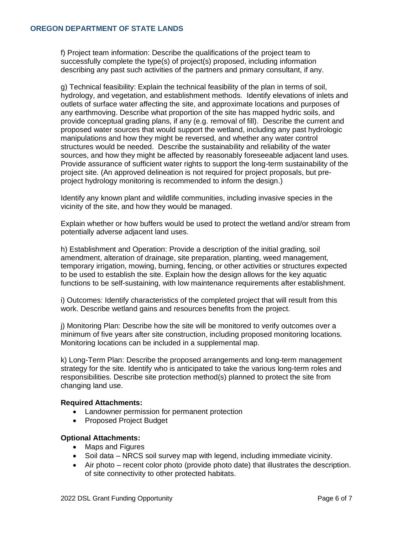f) Project team information: Describe the qualifications of the project team to successfully complete the type(s) of project(s) proposed, including information describing any past such activities of the partners and primary consultant, if any.

g) Technical feasibility: Explain the technical feasibility of the plan in terms of soil, hydrology, and vegetation, and establishment methods. Identify elevations of inlets and outlets of surface water affecting the site, and approximate locations and purposes of any earthmoving. Describe what proportion of the site has mapped hydric soils, and provide conceptual grading plans, if any (e.g. removal of fill). Describe the current and proposed water sources that would support the wetland, including any past hydrologic manipulations and how they might be reversed, and whether any water control structures would be needed. Describe the sustainability and reliability of the water sources, and how they might be affected by reasonably foreseeable adjacent land uses. Provide assurance of sufficient water rights to support the long-term sustainability of the project site. (An approved delineation is not required for project proposals, but preproject hydrology monitoring is recommended to inform the design.)

Identify any known plant and wildlife communities, including invasive species in the vicinity of the site, and how they would be managed.

Explain whether or how buffers would be used to protect the wetland and/or stream from potentially adverse adjacent land uses.

h) Establishment and Operation: Provide a description of the initial grading, soil amendment, alteration of drainage, site preparation, planting, weed management, temporary irrigation, mowing, burning, fencing, or other activities or structures expected to be used to establish the site. Explain how the design allows for the key aquatic functions to be self-sustaining, with low maintenance requirements after establishment.

i) Outcomes: Identify characteristics of the completed project that will result from this work. Describe wetland gains and resources benefits from the project.

j) Monitoring Plan: Describe how the site will be monitored to verify outcomes over a minimum of five years after site construction, including proposed monitoring locations. Monitoring locations can be included in a supplemental map.

k) Long-Term Plan: Describe the proposed arrangements and long-term management strategy for the site. Identify who is anticipated to take the various long-term roles and responsibilities. Describe site protection method(s) planned to protect the site from changing land use.

### **Required Attachments:**

- Landowner permission for permanent protection
- Proposed Project Budget

### **Optional Attachments:**

- Maps and Figures
- Soil data NRCS soil survey map with legend, including immediate vicinity.
- Air photo recent color photo (provide photo date) that illustrates the description. of site connectivity to other protected habitats.